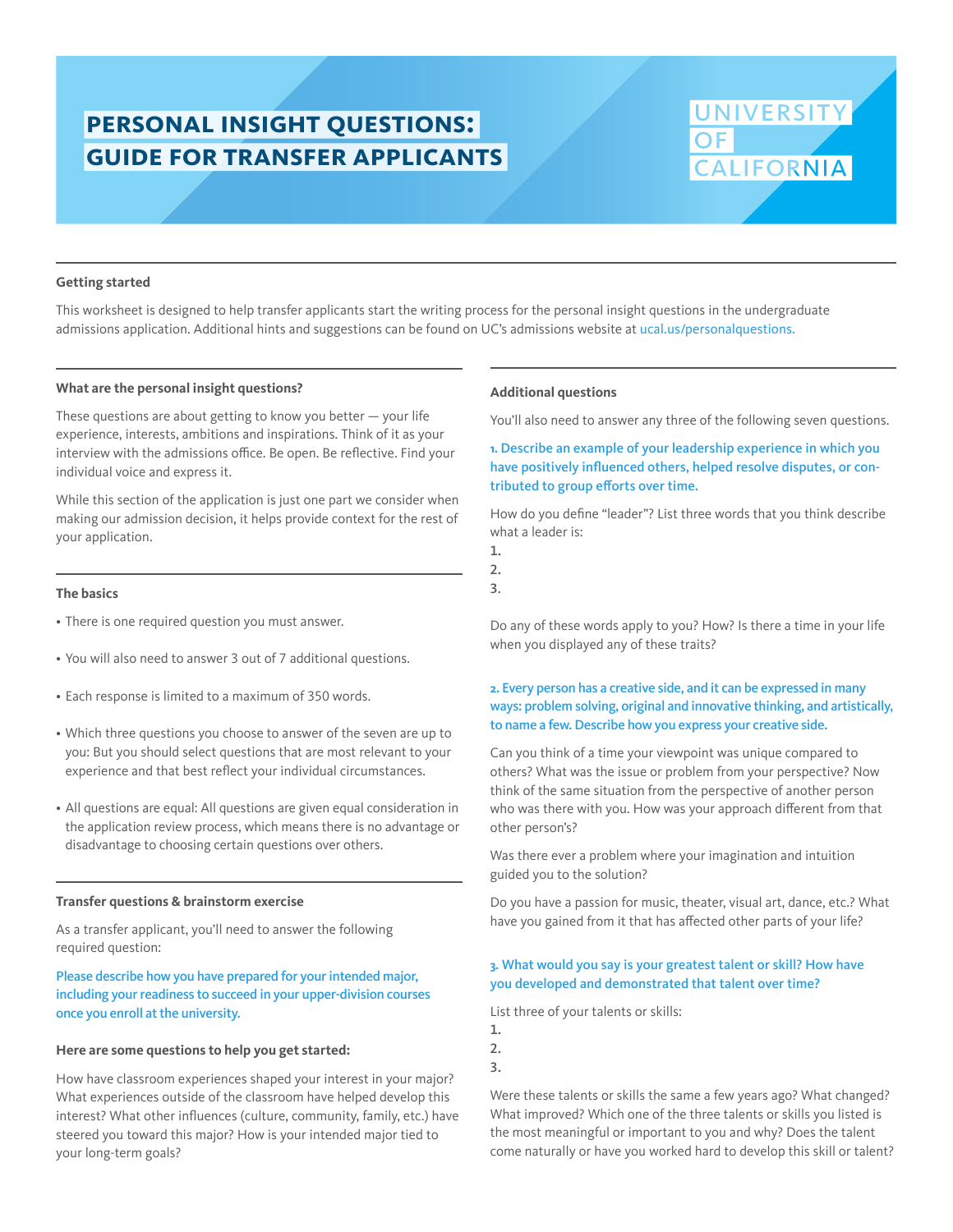# **personal insight questions: guide for transfer applicants**

# **NIVERSIT CALIFORNIA**

#### **Getting started**

This worksheet is designed to help transfer applicants start the writing process for the personal insight questions in the undergraduate admissions application. Additional hints and suggestions can be found on UC's admissions website at ucal.us/personalquestions.

#### **What are the personal insight questions?**

These questions are about getting to know you better — your life experience, interests, ambitions and inspirations. Think of it as your interview with the admissions office. Be open. Be reflective. Find your individual voice and express it.

While this section of the application is just one part we consider when making our admission decision, it helps provide context for the rest of your application.

#### **The basics**

- There is one required question you must answer.
- You will also need to answer 3 out of 7 additional questions.
- Each response is limited to a maximum of 350 words.
- Which three questions you choose to answer of the seven are up to you: But you should select questions that are most relevant to your experience and that best reflect your individual circumstances.
- All questions are equal: All questions are given equal consideration in the application review process, which means there is no advantage or disadvantage to choosing certain questions over others.

#### **Transfer questions & brainstorm exercise**

As a transfer applicant, you'll need to answer the following required question:

## Please describe how you have prepared for your intended major, including your readiness to succeed in your upper-division courses once you enroll at the university.

#### **Here are some questions to help you get started:**

How have classroom experiences shaped your interest in your major? What experiences outside of the classroom have helped develop this interest? What other influences (culture, community, family, etc.) have steered you toward this major? How is your intended major tied to your long-term goals?

#### **Additional questions**

You'll also need to answer any three of the following seven questions.

# **1.** Describe an example of your leadership experience in which you have positively influenced others, helped resolve disputes, or contributed to group efforts over time.

How do you define "leader"? List three words that you think describe what a leader is:

- 1. 2.
- 3.

Do any of these words apply to you? How? Is there a time in your life when you displayed any of these traits?

## **2.** Every person has a creative side, and it can be expressed in many ways: problem solving, original and innovative thinking, and artistically, to name a few. Describe how you express your creative side.

Can you think of a time your viewpoint was unique compared to others? What was the issue or problem from your perspective? Now think of the same situation from the perspective of another person who was there with you. How was your approach different from that other person's?

Was there ever a problem where your imagination and intuition guided you to the solution?

Do you have a passion for music, theater, visual art, dance, etc.? What have you gained from it that has affected other parts of your life?

### **3.** What would you say is your greatest talent or skill? How have you developed and demonstrated that talent over time?

List three of your talents or skills:

- 1.
- 2.
- 3.

Were these talents or skills the same a few years ago? What changed? What improved? Which one of the three talents or skills you listed is the most meaningful or important to you and why? Does the talent come naturally or have you worked hard to develop this skill or talent?